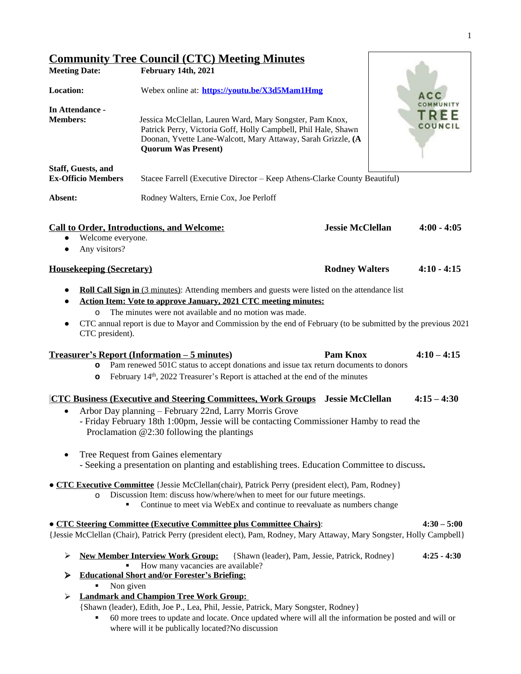$\mathbf{r}$ 

|                                                        | <b>Community Tree Council (CTC) Meeting Minutes</b>                                                                                                                                                                                                                                                                                                                                                                        |                                                |                                    |
|--------------------------------------------------------|----------------------------------------------------------------------------------------------------------------------------------------------------------------------------------------------------------------------------------------------------------------------------------------------------------------------------------------------------------------------------------------------------------------------------|------------------------------------------------|------------------------------------|
| <b>Meeting Date:</b>                                   | February 14th, 2021                                                                                                                                                                                                                                                                                                                                                                                                        |                                                |                                    |
| <b>Location:</b>                                       | Webex online at: https://youtu.be/X3d5Mam1Hmg                                                                                                                                                                                                                                                                                                                                                                              |                                                | A C C                              |
| In Attendance -<br><b>Members:</b>                     | Jessica McClellan, Lauren Ward, Mary Songster, Pam Knox,<br>Patrick Perry, Victoria Goff, Holly Campbell, Phil Hale, Shawn<br>Doonan, Yvette Lane-Walcott, Mary Attaway, Sarah Grizzle, (A<br><b>Quorum Was Present)</b>                                                                                                                                                                                                   |                                                | COMMUNITY<br><b>TRE</b><br>COUNCIL |
| <b>Staff, Guests, and</b><br><b>Ex-Officio Members</b> | Stacee Farrell (Executive Director - Keep Athens-Clarke County Beautiful)                                                                                                                                                                                                                                                                                                                                                  |                                                |                                    |
| Absent:                                                | Rodney Walters, Ernie Cox, Joe Perloff                                                                                                                                                                                                                                                                                                                                                                                     |                                                |                                    |
| Welcome everyone.<br>Any visitors?                     | <b>Call to Order, Introductions, and Welcome:</b>                                                                                                                                                                                                                                                                                                                                                                          | <b>Jessie McClellan</b>                        | $4:00 - 4:05$                      |
| <b>Housekeeping (Secretary)</b>                        |                                                                                                                                                                                                                                                                                                                                                                                                                            | <b>Rodney Walters</b>                          | $4:10 - 4:15$                      |
| $\circ$<br>CTC president).<br>$\circ$<br>$\circ$       | The minutes were not available and no motion was made.<br>CTC annual report is due to Mayor and Commission by the end of February (to be submitted by the previous 2021<br><u><b>Treasurer's Report (Information – 5 minutes)</b></u><br>Pam renewed 501C status to accept donations and issue tax return documents to donors<br>February 14 <sup>th</sup> , 2022 Treasurer's Report is attached at the end of the minutes | <b>Pam Knox</b>                                | $4:10 - 4:15$                      |
|                                                        | <b>CTC Business (Executive and Steering Committees, Work Groups Jessie McClellan</b><br>Arbor Day planning - February 22nd, Larry Morris Grove<br>- Friday February 18th 1:00pm, Jessie will be contacting Commissioner Hamby to read the<br>Proclamation $@2:30$ following the plantings                                                                                                                                  |                                                | $4:15 - 4:30$                      |
|                                                        | Tree Request from Gaines elementary<br>- Seeking a presentation on planting and establishing trees. Education Committee to discuss.                                                                                                                                                                                                                                                                                        |                                                |                                    |
| $\circ$                                                | • CTC Executive Committee { Jessie McClellan(chair), Patrick Perry (president elect), Pam, Rodney }<br>Discussion Item: discuss how/where/when to meet for our future meetings.<br>Continue to meet via WebEx and continue to reevaluate as numbers change                                                                                                                                                                 |                                                |                                    |
|                                                        | <b>. CTC Steering Committee (Executive Committee plus Committee Chairs):</b><br>{Jessie McClellan (Chair), Patrick Perry (president elect), Pam, Rodney, Mary Attaway, Mary Songster, Holly Campbell}                                                                                                                                                                                                                      |                                                | $4:30 - 5:00$                      |
| ➤<br>⋗<br>Non given<br>➤                               | <b>New Member Interview Work Group:</b><br>How many vacancies are available?<br><b>Educational Short and/or Forester's Briefing:</b><br><b>Landmark and Champion Tree Work Group:</b><br>{Shawn (leader), Edith, Joe P., Lea, Phil, Jessie, Patrick, Mary Songster, Rodney}                                                                                                                                                | {Shawn (leader), Pam, Jessie, Patrick, Rodney} | $4:25 - 4:30$                      |
| ٠                                                      | 60 more trees to update and locate. Once updated where will all the information be posted and will or<br>where will it be publically located?No discussion                                                                                                                                                                                                                                                                 |                                                |                                    |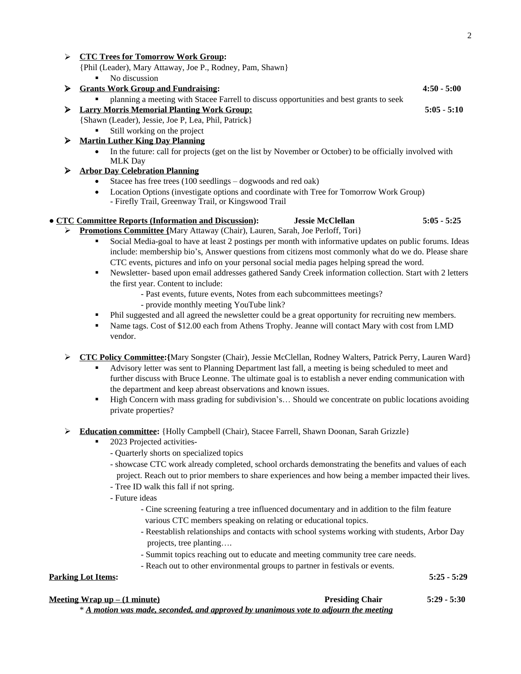| ➤ | <b>CTC Trees for Tomorrow Work Group:</b>                                                                             |               |
|---|-----------------------------------------------------------------------------------------------------------------------|---------------|
|   | {Phil (Leader), Mary Attaway, Joe P., Rodney, Pam, Shawn}                                                             |               |
|   | No discussion<br>٠                                                                                                    |               |
| ➤ | <b>Grants Work Group and Fundraising:</b>                                                                             | $4:50 - 5:00$ |
|   | planning a meeting with Stacee Farrell to discuss opportunities and best grants to seek                               |               |
| ➤ | <b>Larry Morris Memorial Planting Work Group:</b>                                                                     | $5:05 - 5:10$ |
|   | {Shawn (Leader), Jessie, Joe P, Lea, Phil, Patrick}                                                                   |               |
|   | Still working on the project                                                                                          |               |
| ➤ | <b>Martin Luther King Day Planning</b>                                                                                |               |
|   | In the future: call for projects (get on the list by November or October) to be officially involved with<br>$\bullet$ |               |
|   | <b>MLK Day</b>                                                                                                        |               |
| ⋗ | <b>Arbor Day Celebration Planning</b>                                                                                 |               |
|   | Stacee has free trees (100 seedlings – dogwoods and red oak)<br>$\bullet$                                             |               |
|   | Location Options (investigate options and coordinate with Tree for Tomorrow Work Group)<br>$\bullet$                  |               |
|   | - Firefly Trail, Greenway Trail, or Kingswood Trail                                                                   |               |
|   | • CTC Committee Reports (Information and Discussion):<br><b>Jessie McClellan</b>                                      | $5:05 - 5:25$ |
|   | $\triangleright$ <b>Dramations Committee Mory Attowey (Chair)</b> Lowen, Sarah, Log Darloff Toril                     |               |

- **<u>Committee {</u>Mary Attaway (Chair), Lauren, Sarah, Joe Perloff, Tori}** 
	- Social Media-goal to have at least 2 postings per month with informative updates on public forums. Ideas include: membership bio's, Answer questions from citizens most commonly what do we do. Please share CTC events, pictures and info on your personal social media pages helping spread the word.
	- Newsletter- based upon email addresses gathered Sandy Creek information collection. Start with 2 letters the first year. Content to include:
		- Past events, future events, Notes from each subcommittees meetings?
		- provide monthly meeting YouTube link?
	- Phil suggested and all agreed the newsletter could be a great opportunity for recruiting new members.
	- Name tags. Cost of \$12.00 each from Athens Trophy. Jeanne will contact Mary with cost from LMD vendor.
- **CTC Policy Committee:{**Mary Songster (Chair), Jessie McClellan, Rodney Walters, Patrick Perry, Lauren Ward}
	- Advisory letter was sent to Planning Department last fall, a meeting is being scheduled to meet and further discuss with Bruce Leonne. The ultimate goal is to establish a never ending communication with the department and keep abreast observations and known issues.
	- High Concern with mass grading for subdivision's… Should we concentrate on public locations avoiding private properties?
- **Education committee:** {Holly Campbell (Chair), Stacee Farrell, Shawn Doonan, Sarah Grizzle}
	- 2023 Projected activities-
		- Quarterly shorts on specialized topics
		- showcase CTC work already completed, school orchards demonstrating the benefits and values of each project. Reach out to prior members to share experiences and how being a member impacted their lives.
		- Tree ID walk this fall if not spring.
		- Future ideas
			- Cine screening featuring a tree influenced documentary and in addition to the film feature various CTC members speaking on relating or educational topics.
			- Reestablish relationships and contacts with school systems working with students, Arbor Day projects, tree planting….
			- Summit topics reaching out to educate and meeting community tree care needs.
			- Reach out to other environmental groups to partner in festivals or events.

**Parking Lot Items: 5:25 - 5:29**

## **Meeting Wrap up – (1 minute) Presiding Chair 5:29 - 5:30**

\* *A motion was made, seconded, and approved by unanimous vote to adjourn the meeting*